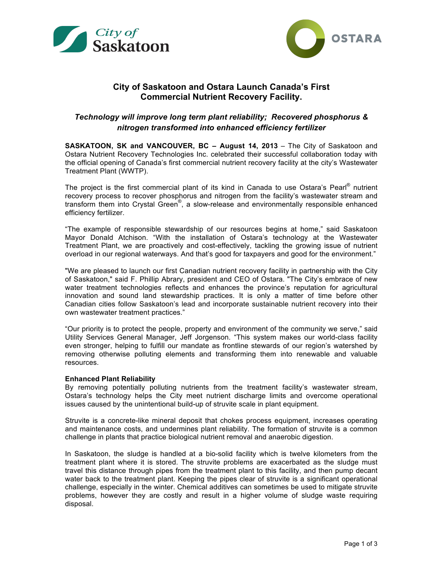



# **City of Saskatoon and Ostara Launch Canada's First Commercial Nutrient Recovery Facility.**

# *Technology will improve long term plant reliability; Recovered phosphorus & nitrogen transformed into enhanced efficiency fertilizer*

**SASKATOON, SK and VANCOUVER, BC – August 14, 2013** – The City of Saskatoon and Ostara Nutrient Recovery Technologies Inc. celebrated their successful collaboration today with the official opening of Canada's first commercial nutrient recovery facility at the city's Wastewater Treatment Plant (WWTP).

The project is the first commercial plant of its kind in Canada to use Ostara's Pearl® nutrient recovery process to recover phosphorus and nitrogen from the facility's wastewater stream and transform them into Crystal Green®, a slow-release and environmentally responsible enhanced efficiency fertilizer.

"The example of responsible stewardship of our resources begins at home," said Saskatoon Mayor Donald Atchison. "With the installation of Ostara's technology at the Wastewater Treatment Plant, we are proactively and cost-effectively, tackling the growing issue of nutrient overload in our regional waterways. And that's good for taxpayers and good for the environment."

"We are pleased to launch our first Canadian nutrient recovery facility in partnership with the City of Saskatoon," said F. Phillip Abrary, president and CEO of Ostara. "The City's embrace of new water treatment technologies reflects and enhances the province's reputation for agricultural innovation and sound land stewardship practices. It is only a matter of time before other Canadian cities follow Saskatoon's lead and incorporate sustainable nutrient recovery into their own wastewater treatment practices."

"Our priority is to protect the people, property and environment of the community we serve," said Utility Services General Manager, Jeff Jorgenson. "This system makes our world-class facility even stronger, helping to fulfill our mandate as frontline stewards of our region's watershed by removing otherwise polluting elements and transforming them into renewable and valuable resources.

## **Enhanced Plant Reliability**

By removing potentially polluting nutrients from the treatment facility's wastewater stream, Ostara's technology helps the City meet nutrient discharge limits and overcome operational issues caused by the unintentional build-up of struvite scale in plant equipment.

Struvite is a concrete-like mineral deposit that chokes process equipment, increases operating and maintenance costs, and undermines plant reliability. The formation of struvite is a common challenge in plants that practice biological nutrient removal and anaerobic digestion.

In Saskatoon, the sludge is handled at a bio-solid facility which is twelve kilometers from the treatment plant where it is stored. The struvite problems are exacerbated as the sludge must travel this distance through pipes from the treatment plant to this facility, and then pump decant water back to the treatment plant. Keeping the pipes clear of struvite is a significant operational challenge, especially in the winter. Chemical additives can sometimes be used to mitigate struvite problems, however they are costly and result in a higher volume of sludge waste requiring disposal.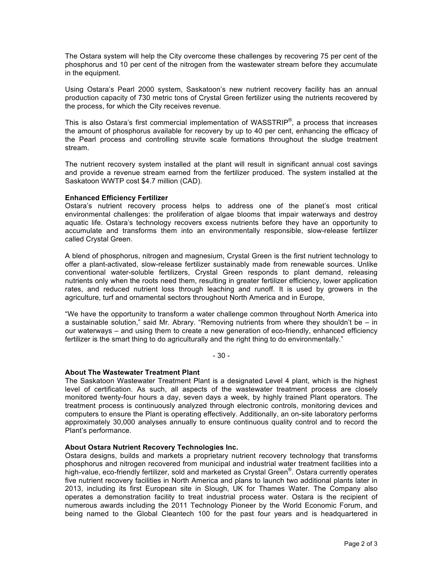The Ostara system will help the City overcome these challenges by recovering 75 per cent of the phosphorus and 10 per cent of the nitrogen from the wastewater stream before they accumulate in the equipment.

Using Ostara's Pearl 2000 system, Saskatoon's new nutrient recovery facility has an annual production capacity of 730 metric tons of Crystal Green fertilizer using the nutrients recovered by the process, for which the City receives revenue.

This is also Ostara's first commercial implementation of WASSTRIP<sup>®</sup>, a process that increases the amount of phosphorus available for recovery by up to 40 per cent, enhancing the efficacy of the Pearl process and controlling struvite scale formations throughout the sludge treatment stream.

The nutrient recovery system installed at the plant will result in significant annual cost savings and provide a revenue stream earned from the fertilizer produced. The system installed at the Saskatoon WWTP cost \$4.7 million (CAD).

## **Enhanced Efficiency Fertilizer**

Ostara's nutrient recovery process helps to address one of the planet's most critical environmental challenges: the proliferation of algae blooms that impair waterways and destroy aquatic life. Ostara's technology recovers excess nutrients before they have an opportunity to accumulate and transforms them into an environmentally responsible, slow-release fertilizer called Crystal Green.

A blend of phosphorus, nitrogen and magnesium, Crystal Green is the first nutrient technology to offer a plant-activated, slow-release fertilizer sustainably made from renewable sources. Unlike conventional water-soluble fertilizers, Crystal Green responds to plant demand, releasing nutrients only when the roots need them, resulting in greater fertilizer efficiency, lower application rates, and reduced nutrient loss through leaching and runoff. It is used by growers in the agriculture, turf and ornamental sectors throughout North America and in Europe,

"We have the opportunity to transform a water challenge common throughout North America into a sustainable solution," said Mr. Abrary. "Removing nutrients from where they shouldn't be – in our waterways – and using them to create a new generation of eco-friendly, enhanced efficiency fertilizer is the smart thing to do agriculturally and the right thing to do environmentally."

- 30 -

## **About The Wastewater Treatment Plant**

The Saskatoon Wastewater Treatment Plant is a designated Level 4 plant, which is the highest level of certification. As such, all aspects of the wastewater treatment process are closely monitored twenty-four hours a day, seven days a week, by highly trained Plant operators. The treatment process is continuously analyzed through electronic controls, monitoring devices and computers to ensure the Plant is operating effectively. Additionally, an on-site laboratory performs approximately 30,000 analyses annually to ensure continuous quality control and to record the Plant's performance.

## **About Ostara Nutrient Recovery Technologies Inc.**

Ostara designs, builds and markets a proprietary nutrient recovery technology that transforms phosphorus and nitrogen recovered from municipal and industrial water treatment facilities into a .<br>high-value, eco-friendly fertilizer, sold and marketed as Crystal Green®. Ostara currently operates five nutrient recovery facilities in North America and plans to launch two additional plants later in 2013, including its first European site in Slough, UK for Thames Water. The Company also operates a demonstration facility to treat industrial process water. Ostara is the recipient of numerous awards including the 2011 Technology Pioneer by the World Economic Forum, and being named to the Global Cleantech 100 for the past four years and is headquartered in